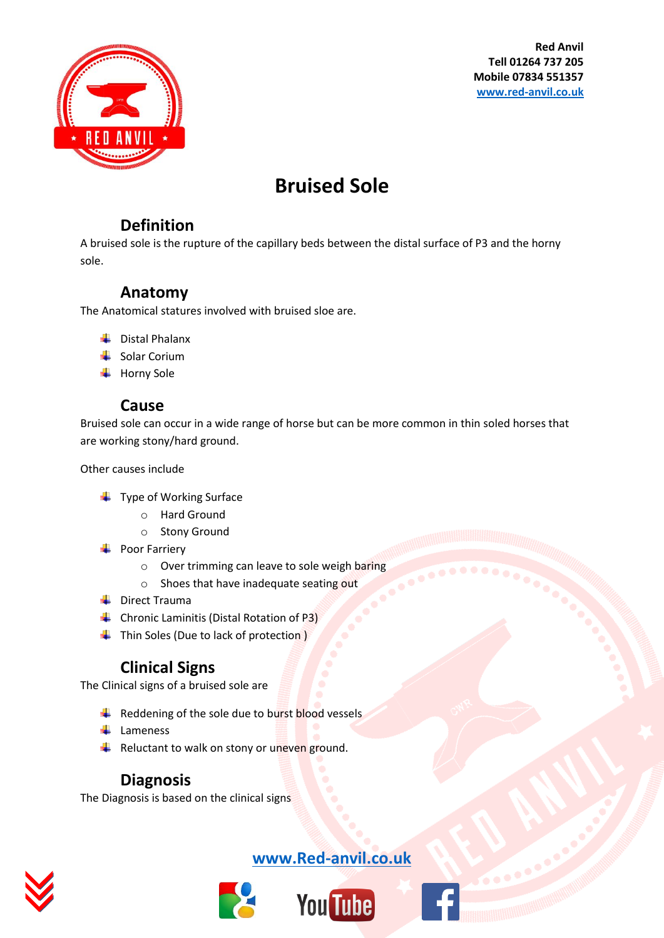

**Red Anvil Tell 01264 737 205 Mobile 07834 551357 [www.red-anvil.co.uk](http://www.red-anvil.co.uk/)**

## **Bruised Sole**

## **Definition**

A bruised sole is the rupture of the capillary beds between the distal surface of P3 and the horny sole.

## **Anatomy**

The Anatomical statures involved with bruised sloe are.

- $\downarrow$  Distal Phalanx
- $\frac{1}{2}$  Solar Corium
- $\overline{\phantom{a}}$  Horny Sole

#### **Cause**

Bruised sole can occur in a wide range of horse but can be more common in thin soled horses that are working stony/hard ground.

Other causes include

- $\ddot{\bullet}$  Type of Working Surface
	- o Hard Ground
	- o Stony Ground
- **←** Poor Farriery
	- o Over trimming can leave to sole weigh baring
	- o Shoes that have inadequate seating out
- $\downarrow$  Direct Trauma
- Chronic Laminitis (Distal Rotation of P3)
- $\leftarrow$  Thin Soles (Due to lack of protection)

## **Clinical Signs**

The Clinical signs of a bruised sole are

- $\frac{1}{\sqrt{2}}$  Reddening of the sole due to burst blood vessels
- $\downarrow$  Lameness
- Reluctant to walk on stony or uneven ground.

## **Diagnosis**

The Diagnosis is based on the clinical signs



## **[www.Red-anvil.co.uk](http://www.red-anvil.co.uk/)**



# **You Tube**